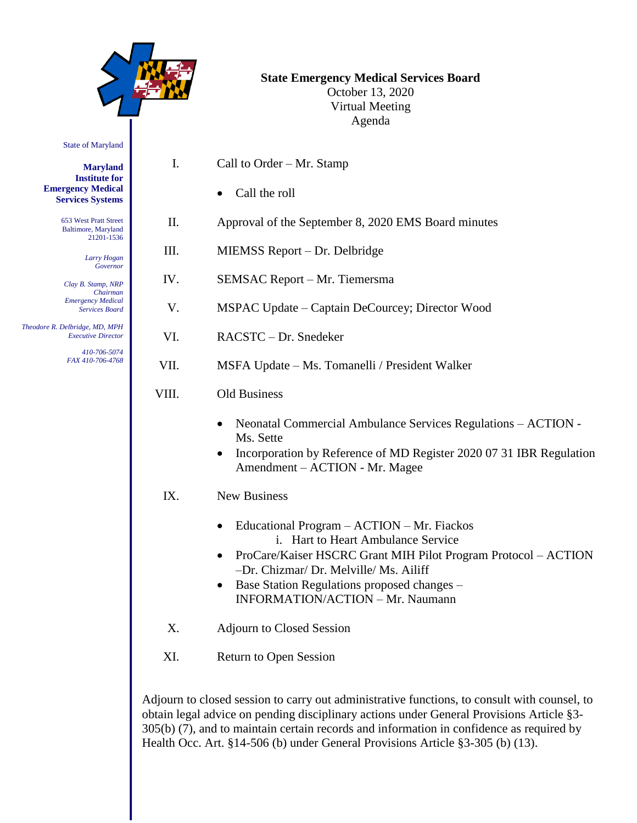|                                                                                                                                                                                                                                                                                 |       | <b>State Emergency Medical Services Board</b><br>October 13, 2020<br><b>Virtual Meeting</b><br>Agenda                                                                                                                                                                                                                                                                                                                                                                                                                   |
|---------------------------------------------------------------------------------------------------------------------------------------------------------------------------------------------------------------------------------------------------------------------------------|-------|-------------------------------------------------------------------------------------------------------------------------------------------------------------------------------------------------------------------------------------------------------------------------------------------------------------------------------------------------------------------------------------------------------------------------------------------------------------------------------------------------------------------------|
| <b>State of Maryland</b>                                                                                                                                                                                                                                                        |       |                                                                                                                                                                                                                                                                                                                                                                                                                                                                                                                         |
| <b>Maryland</b><br><b>Institute for</b><br><b>Emergency Medical</b><br><b>Services Systems</b>                                                                                                                                                                                  | I.    | Call to Order $-Mr$ . Stamp<br>Call the roll                                                                                                                                                                                                                                                                                                                                                                                                                                                                            |
| 653 West Pratt Street<br>Baltimore, Maryland<br>21201-1536<br>Larry Hogan<br>Governor<br>Clay B. Stamp, NRP<br>Chairman<br><b>Emergency Medical</b><br><b>Services Board</b><br>Theodore R. Delbridge, MD, MPH<br><b>Executive Director</b><br>410-706-5074<br>FAX 410-706-4768 | II.   | Approval of the September 8, 2020 EMS Board minutes                                                                                                                                                                                                                                                                                                                                                                                                                                                                     |
|                                                                                                                                                                                                                                                                                 | III.  | MIEMSS Report – Dr. Delbridge                                                                                                                                                                                                                                                                                                                                                                                                                                                                                           |
|                                                                                                                                                                                                                                                                                 | IV.   | SEMSAC Report - Mr. Tiemersma                                                                                                                                                                                                                                                                                                                                                                                                                                                                                           |
|                                                                                                                                                                                                                                                                                 | V.    | MSPAC Update – Captain DeCourcey; Director Wood                                                                                                                                                                                                                                                                                                                                                                                                                                                                         |
|                                                                                                                                                                                                                                                                                 | VI.   | RACSTC - Dr. Snedeker                                                                                                                                                                                                                                                                                                                                                                                                                                                                                                   |
|                                                                                                                                                                                                                                                                                 | VII.  | MSFA Update – Ms. Tomanelli / President Walker                                                                                                                                                                                                                                                                                                                                                                                                                                                                          |
|                                                                                                                                                                                                                                                                                 | VIII. | Old Business                                                                                                                                                                                                                                                                                                                                                                                                                                                                                                            |
|                                                                                                                                                                                                                                                                                 | IX.   | Neonatal Commercial Ambulance Services Regulations - ACTION -<br>$\bullet$<br>Ms. Sette<br>Incorporation by Reference of MD Register 2020 07 31 IBR Regulation<br>Amendment – ACTION - Mr. Magee<br><b>New Business</b><br>Educational Program - ACTION - Mr. Fiackos<br>i. Hart to Heart Ambulance Service<br>ProCare/Kaiser HSCRC Grant MIH Pilot Program Protocol - ACTION<br>-Dr. Chizmar/ Dr. Melville/ Ms. Ailiff<br>Base Station Regulations proposed changes -<br>$\bullet$<br>INFORMATION/ACTION - Mr. Naumann |
|                                                                                                                                                                                                                                                                                 | X.    | <b>Adjourn to Closed Session</b>                                                                                                                                                                                                                                                                                                                                                                                                                                                                                        |
|                                                                                                                                                                                                                                                                                 | XI.   | Return to Open Session                                                                                                                                                                                                                                                                                                                                                                                                                                                                                                  |

Adjourn to closed session to carry out administrative functions, to consult with counsel, to obtain legal advice on pending disciplinary actions under General Provisions Article §3- 305(b) (7), and to maintain certain records and information in confidence as required by Health Occ. Art. §14-506 (b) under General Provisions Article §3-305 (b) (13).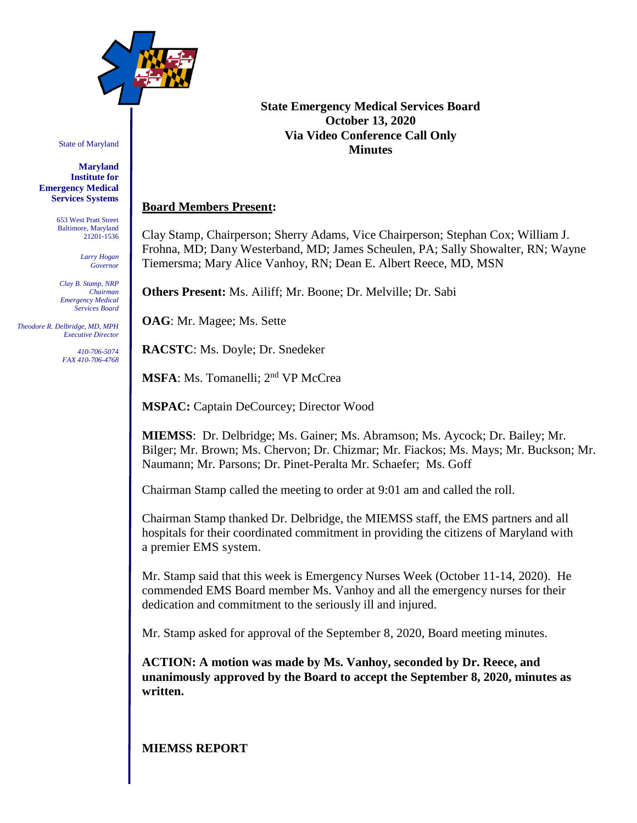

State of Maryland

**Maryland Institute for Emergency Medical Services Systems**

> 653 West Pratt Street Baltimore, Maryland 21201-1536

> > *Larry Hogan Governor*

*Clay B. Stamp, NRP Chairman Emergency Medical Services Board*

 *Theodore R. Delbridge, MD, MPH Executive Director*

> *410-706-5074 FAX 410-706-4768*

#### **State Emergency Medical Services Board October 13, 2020 Via Video Conference Call Only Minutes**

#### **Board Members Present:**

Clay Stamp, Chairperson; Sherry Adams, Vice Chairperson; Stephan Cox; William J. Frohna, MD; Dany Westerband, MD; James Scheulen, PA; Sally Showalter, RN; Wayne Tiemersma; Mary Alice Vanhoy, RN; Dean E. Albert Reece, MD, MSN

**Others Present:** Ms. Ailiff; Mr. Boone; Dr. Melville; Dr. Sabi

**OAG**: Mr. Magee; Ms. Sette

**RACSTC**: Ms. Doyle; Dr. Snedeker

**MSFA**: Ms. Tomanelli; 2<sup>nd</sup> VP McCrea

**MSPAC:** Captain DeCourcey; Director Wood

**MIEMSS**: Dr. Delbridge; Ms. Gainer; Ms. Abramson; Ms. Aycock; Dr. Bailey; Mr. Bilger; Mr. Brown; Ms. Chervon; Dr. Chizmar; Mr. Fiackos; Ms. Mays; Mr. Buckson; Mr. Naumann; Mr. Parsons; Dr. Pinet-Peralta Mr. Schaefer; Ms. Goff

Chairman Stamp called the meeting to order at 9:01 am and called the roll.

Chairman Stamp thanked Dr. Delbridge, the MIEMSS staff, the EMS partners and all hospitals for their coordinated commitment in providing the citizens of Maryland with a premier EMS system.

Mr. Stamp said that this week is Emergency Nurses Week (October 11-14, 2020). He commended EMS Board member Ms. Vanhoy and all the emergency nurses for their dedication and commitment to the seriously ill and injured.

Mr. Stamp asked for approval of the September 8, 2020, Board meeting minutes.

**ACTION: A motion was made by Ms. Vanhoy, seconded by Dr. Reece, and unanimously approved by the Board to accept the September 8, 2020, minutes as written.**

## **MIEMSS REPORT**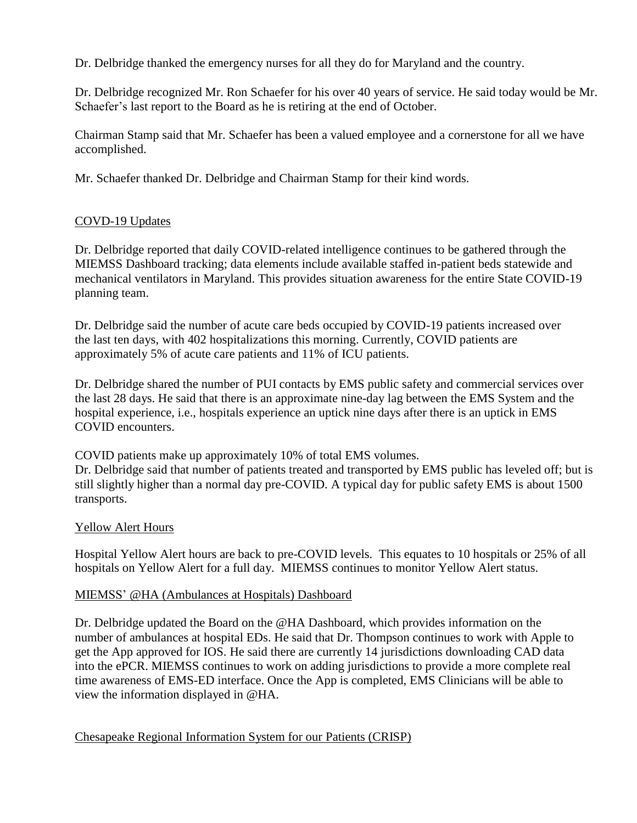Dr. Delbridge thanked the emergency nurses for all they do for Maryland and the country.

Dr. Delbridge recognized Mr. Ron Schaefer for his over 40 years of service. He said today would be Mr. Schaefer's last report to the Board as he is retiring at the end of October.

Chairman Stamp said that Mr. Schaefer has been a valued employee and a cornerstone for all we have accomplished.

Mr. Schaefer thanked Dr. Delbridge and Chairman Stamp for their kind words.

# COVD-19 Updates

Dr. Delbridge reported that daily COVID-related intelligence continues to be gathered through the MIEMSS Dashboard tracking; data elements include available staffed in-patient beds statewide and mechanical ventilators in Maryland. This provides situation awareness for the entire State COVID-19 planning team.

Dr. Delbridge said the number of acute care beds occupied by COVID-19 patients increased over the last ten days, with 402 hospitalizations this morning. Currently, COVID patients are approximately 5% of acute care patients and 11% of ICU patients.

Dr. Delbridge shared the number of PUI contacts by EMS public safety and commercial services over the last 28 days. He said that there is an approximate nine-day lag between the EMS System and the hospital experience, i.e., hospitals experience an uptick nine days after there is an uptick in EMS COVID encounters.

COVID patients make up approximately 10% of total EMS volumes.

Dr. Delbridge said that number of patients treated and transported by EMS public has leveled off; but is still slightly higher than a normal day pre-COVID. A typical day for public safety EMS is about 1500 transports.

## Yellow Alert Hours

Hospital Yellow Alert hours are back to pre-COVID levels. This equates to 10 hospitals or 25% of all hospitals on Yellow Alert for a full day. MIEMSS continues to monitor Yellow Alert status.

## MIEMSS' [@H](mailto:@HA)A [\(Ambulances at Hospitals\) Dashboard](mailto:@HA)

Dr. Delbridge updated the Board on the [@HA](mailto:@HA) Dashboard, which [provides information on the](mailto:@HA)  number of ambulances at hospital EDs. He said that Dr. Thompson continues to work with Apple to get the App approved for IOS. He said there are currently 14 jurisdictions downloading CAD data into the ePCR. MIEMSS continues to work on adding jurisdictions to provide a more complete real time awareness of EMS-ED interface. Once the App is completed, EMS Clinicians will be able to view the information displayed in @HA.

Chesapeake Regional Information System for our Patients (CRISP)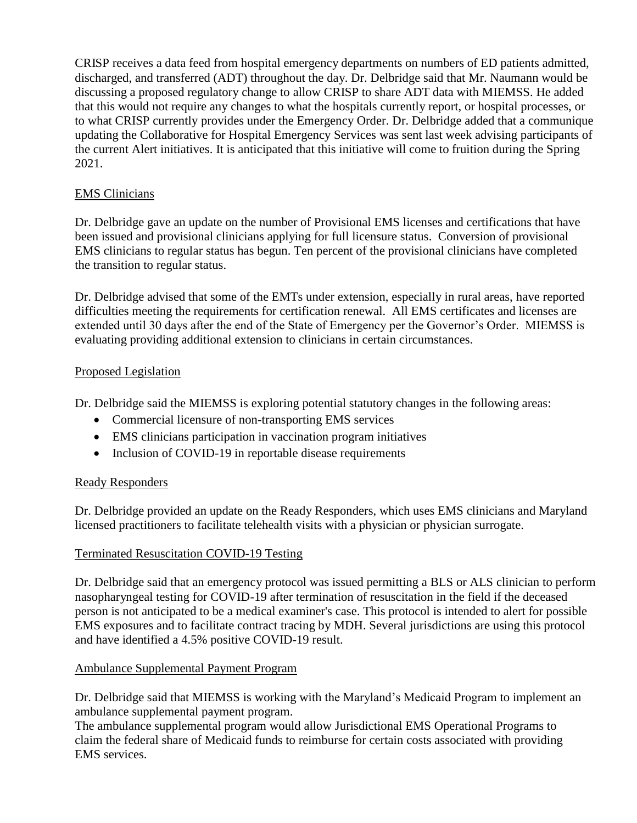CRISP receives a data feed from hospital emergency departments on numbers of ED patients admitted, discharged, and transferred (ADT) throughout the day. Dr. Delbridge said that Mr. Naumann would be discussing a proposed regulatory change to allow CRISP to share ADT data with MIEMSS. He added that this would not require any changes to what the hospitals currently report, or hospital processes, or to what CRISP currently provides under the Emergency Order. Dr. Delbridge added that a communique updating the Collaborative for Hospital Emergency Services was sent last week advising participants of the current Alert initiatives. It is anticipated that this initiative will come to fruition during the Spring 2021.

# EMS Clinicians

Dr. Delbridge gave an update on the number of Provisional EMS licenses and certifications that have been issued and provisional clinicians applying for full licensure status. Conversion of provisional EMS clinicians to regular status has begun. Ten percent of the provisional clinicians have completed the transition to regular status.

Dr. Delbridge advised that some of the EMTs under extension, especially in rural areas, have reported difficulties meeting the requirements for certification renewal. All EMS certificates and licenses are extended until 30 days after the end of the State of Emergency per the Governor's Order. MIEMSS is evaluating providing additional extension to clinicians in certain circumstances.

## Proposed Legislation

Dr. Delbridge said the MIEMSS is exploring potential statutory changes in the following areas:

- Commercial licensure of non-transporting EMS services
- EMS clinicians participation in vaccination program initiatives
- Inclusion of COVID-19 in reportable disease requirements

## Ready Responders

Dr. Delbridge provided an update on the Ready Responders, which uses EMS clinicians and Maryland licensed practitioners to facilitate telehealth visits with a physician or physician surrogate.

## Terminated Resuscitation COVID-19 Testing

Dr. Delbridge said that an emergency protocol was issued permitting a BLS or ALS clinician to perform nasopharyngeal testing for COVID-19 after termination of resuscitation in the field if the deceased person is not anticipated to be a medical examiner's case. This protocol is intended to alert for possible EMS exposures and to facilitate contract tracing by MDH. Several jurisdictions are using this protocol and have identified a 4.5% positive COVID-19 result.

## Ambulance Supplemental Payment Program

Dr. Delbridge said that MIEMSS is working with the Maryland's Medicaid Program to implement an ambulance supplemental payment program.

The ambulance supplemental program would allow Jurisdictional EMS Operational Programs to claim the federal share of Medicaid funds to reimburse for certain costs associated with providing EMS services.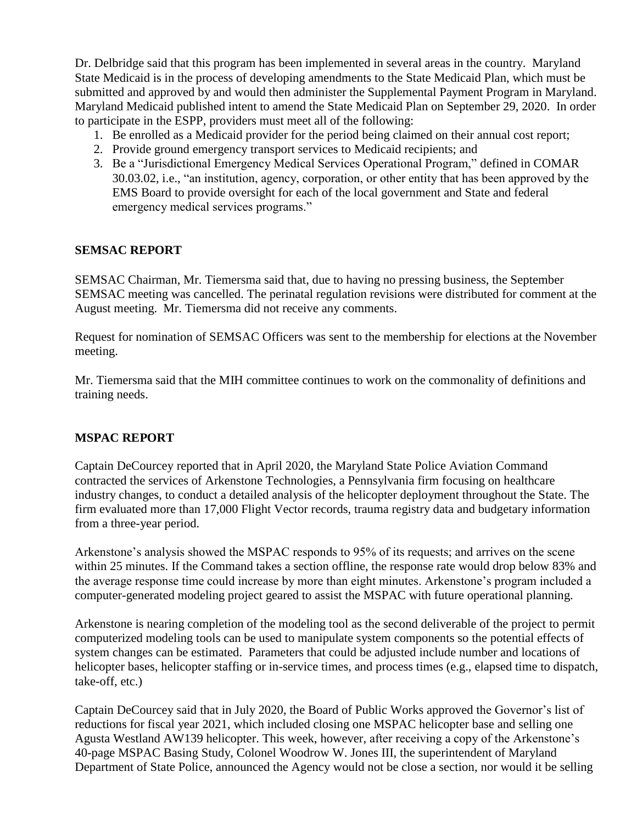Dr. Delbridge said that this program has been implemented in several areas in the country. Maryland State Medicaid is in the process of developing amendments to the State Medicaid Plan, which must be submitted and approved by and would then administer the Supplemental Payment Program in Maryland. Maryland Medicaid published intent to amend the State Medicaid Plan on September 29, 2020. In order to participate in the ESPP, providers must meet all of the following:

- 1. Be enrolled as a Medicaid provider for the period being claimed on their annual cost report;
- 2. Provide ground emergency transport services to Medicaid recipients; and
- 3. Be a "Jurisdictional Emergency Medical Services Operational Program," defined in COMAR 30.03.02, i.e., "an institution, agency, corporation, or other entity that has been approved by the EMS Board to provide oversight for each of the local government and State and federal emergency medical services programs."

#### **SEMSAC REPORT**

SEMSAC Chairman, Mr. Tiemersma said that, due to having no pressing business, the September SEMSAC meeting was cancelled. The perinatal regulation revisions were distributed for comment at the August meeting. Mr. Tiemersma did not receive any comments.

Request for nomination of SEMSAC Officers was sent to the membership for elections at the November meeting.

Mr. Tiemersma said that the MIH committee continues to work on the commonality of definitions and training needs.

## **MSPAC REPORT**

Captain DeCourcey reported that in April 2020, the Maryland State Police Aviation Command contracted the services of Arkenstone Technologies, a Pennsylvania firm focusing on healthcare industry changes, to conduct a detailed analysis of the helicopter deployment throughout the State. The firm evaluated more than 17,000 Flight Vector records, trauma registry data and budgetary information from a three-year period.

Arkenstone's analysis showed the MSPAC responds to 95% of its requests; and arrives on the scene within 25 minutes. If the Command takes a section offline, the response rate would drop below 83% and the average response time could increase by more than eight minutes. Arkenstone's program included a computer-generated modeling project geared to assist the MSPAC with future operational planning.

Arkenstone is nearing completion of the modeling tool as the second deliverable of the project to permit computerized modeling tools can be used to manipulate system components so the potential effects of system changes can be estimated. Parameters that could be adjusted include number and locations of helicopter bases, helicopter staffing or in-service times, and process times (e.g., elapsed time to dispatch, take-off, etc.)

Captain DeCourcey said that in July 2020, the Board of Public Works approved the Governor's list of reductions for fiscal year 2021, which included closing one MSPAC helicopter base and selling one Agusta Westland AW139 helicopter. This week, however, after receiving a copy of the Arkenstone's 40-page MSPAC Basing Study, Colonel Woodrow W. Jones III, the superintendent of Maryland Department of State Police, announced the Agency would not be close a section, nor would it be selling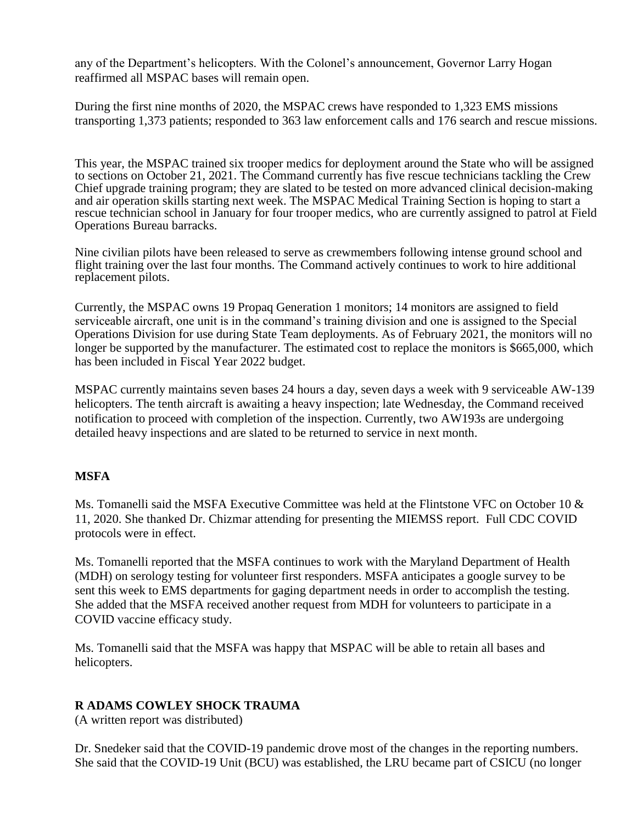any of the Department's helicopters. With the Colonel's announcement, Governor Larry Hogan reaffirmed all MSPAC bases will remain open.

During the first nine months of 2020, the MSPAC crews have responded to 1,323 EMS missions transporting 1,373 patients; responded to 363 law enforcement calls and 176 search and rescue missions.

This year, the MSPAC trained six trooper medics for deployment around the State who will be assigned to sections on October 21, 2021. The Command currently has five rescue technicians tackling the Crew Chief upgrade training program; they are slated to be tested on more advanced clinical decision-making and air operation skills starting next week. The MSPAC Medical Training Section is hoping to start a rescue technician school in January for four trooper medics, who are currently assigned to patrol at Field Operations Bureau barracks.

Nine civilian pilots have been released to serve as crewmembers following intense ground school and flight training over the last four months. The Command actively continues to work to hire additional replacement pilots.

Currently, the MSPAC owns 19 Propaq Generation 1 monitors; 14 monitors are assigned to field serviceable aircraft, one unit is in the command's training division and one is assigned to the Special Operations Division for use during State Team deployments. As of February 2021, the monitors will no longer be supported by the manufacturer. The estimated cost to replace the monitors is \$665,000, which has been included in Fiscal Year 2022 budget.

MSPAC currently maintains seven bases 24 hours a day, seven days a week with 9 serviceable AW-139 helicopters. The tenth aircraft is awaiting a heavy inspection; late Wednesday, the Command received notification to proceed with completion of the inspection. Currently, two AW193s are undergoing detailed heavy inspections and are slated to be returned to service in next month.

## **MSFA**

Ms. Tomanelli said the MSFA Executive Committee was held at the Flintstone VFC on October 10  $\&$ 11, 2020. She thanked Dr. Chizmar attending for presenting the MIEMSS report. Full CDC COVID protocols were in effect.

Ms. Tomanelli reported that the MSFA continues to work with the Maryland Department of Health (MDH) on serology testing for volunteer first responders. MSFA anticipates a google survey to be sent this week to EMS departments for gaging department needs in order to accomplish the testing. She added that the MSFA received another request from MDH for volunteers to participate in a COVID vaccine efficacy study.

Ms. Tomanelli said that the MSFA was happy that MSPAC will be able to retain all bases and helicopters.

## **R ADAMS COWLEY SHOCK TRAUMA**

(A written report was distributed)

Dr. Snedeker said that the COVID-19 pandemic drove most of the changes in the reporting numbers. She said that the COVID-19 Unit (BCU) was established, the LRU became part of CSICU (no longer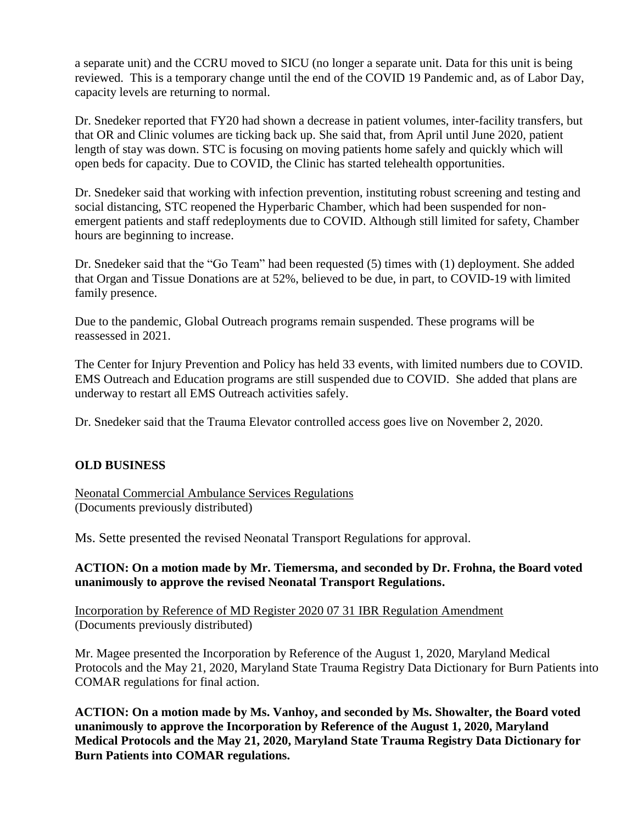a separate unit) and the CCRU moved to SICU (no longer a separate unit. Data for this unit is being reviewed. This is a temporary change until the end of the COVID 19 Pandemic and, as of Labor Day, capacity levels are returning to normal.

Dr. Snedeker reported that FY20 had shown a decrease in patient volumes, inter-facility transfers, but that OR and Clinic volumes are ticking back up. She said that, from April until June 2020, patient length of stay was down. STC is focusing on moving patients home safely and quickly which will open beds for capacity. Due to COVID, the Clinic has started telehealth opportunities.

Dr. Snedeker said that working with infection prevention, instituting robust screening and testing and social distancing, STC reopened the Hyperbaric Chamber, which had been suspended for nonemergent patients and staff redeployments due to COVID. Although still limited for safety, Chamber hours are beginning to increase.

Dr. Snedeker said that the "Go Team" had been requested (5) times with (1) deployment. She added that Organ and Tissue Donations are at 52%, believed to be due, in part, to COVID-19 with limited family presence.

Due to the pandemic, Global Outreach programs remain suspended. These programs will be reassessed in 2021.

The Center for Injury Prevention and Policy has held 33 events, with limited numbers due to COVID. EMS Outreach and Education programs are still suspended due to COVID. She added that plans are underway to restart all EMS Outreach activities safely.

Dr. Snedeker said that the Trauma Elevator controlled access goes live on November 2, 2020.

## **OLD BUSINESS**

Neonatal Commercial Ambulance Services Regulations (Documents previously distributed)

Ms. Sette presented the revised Neonatal Transport Regulations for approval.

#### **ACTION: On a motion made by Mr. Tiemersma, and seconded by Dr. Frohna, the Board voted unanimously to approve the revised Neonatal Transport Regulations.**

Incorporation by Reference of MD Register 2020 07 31 IBR Regulation Amendment (Documents previously distributed)

Mr. Magee presented the Incorporation by Reference of the August 1, 2020, Maryland Medical Protocols and the May 21, 2020, Maryland State Trauma Registry Data Dictionary for Burn Patients into COMAR regulations for final action.

**ACTION: On a motion made by Ms. Vanhoy, and seconded by Ms. Showalter, the Board voted unanimously to approve the Incorporation by Reference of the August 1, 2020, Maryland Medical Protocols and the May 21, 2020, Maryland State Trauma Registry Data Dictionary for Burn Patients into COMAR regulations.**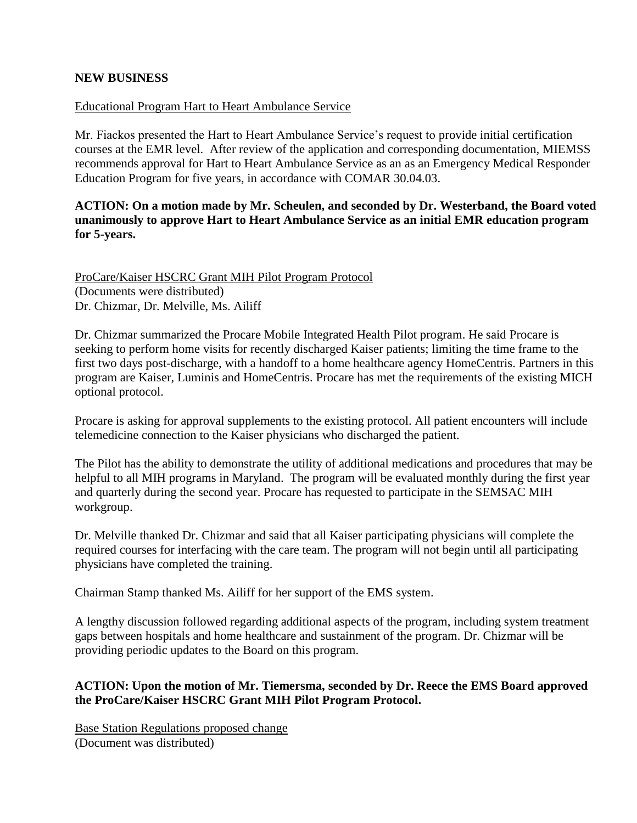#### **NEW BUSINESS**

#### Educational Program Hart to Heart Ambulance Service

Mr. Fiackos presented the Hart to Heart Ambulance Service's request to provide initial certification courses at the EMR level. After review of the application and corresponding documentation, MIEMSS recommends approval for Hart to Heart Ambulance Service as an as an Emergency Medical Responder Education Program for five years, in accordance with COMAR 30.04.03.

## **ACTION: On a motion made by Mr. Scheulen, and seconded by Dr. Westerband, the Board voted unanimously to approve Hart to Heart Ambulance Service as an initial EMR education program for 5-years.**

ProCare/Kaiser HSCRC Grant MIH Pilot Program Protocol (Documents were distributed) Dr. Chizmar, Dr. Melville, Ms. Ailiff

Dr. Chizmar summarized the Procare Mobile Integrated Health Pilot program. He said Procare is seeking to perform home visits for recently discharged Kaiser patients; limiting the time frame to the first two days post-discharge, with a handoff to a home healthcare agency HomeCentris. Partners in this program are Kaiser, Luminis and HomeCentris. Procare has met the requirements of the existing MICH optional protocol.

Procare is asking for approval supplements to the existing protocol. All patient encounters will include telemedicine connection to the Kaiser physicians who discharged the patient.

The Pilot has the ability to demonstrate the utility of additional medications and procedures that may be helpful to all MIH programs in Maryland. The program will be evaluated monthly during the first year and quarterly during the second year. Procare has requested to participate in the SEMSAC MIH workgroup.

Dr. Melville thanked Dr. Chizmar and said that all Kaiser participating physicians will complete the required courses for interfacing with the care team. The program will not begin until all participating physicians have completed the training.

Chairman Stamp thanked Ms. Ailiff for her support of the EMS system.

A lengthy discussion followed regarding additional aspects of the program, including system treatment gaps between hospitals and home healthcare and sustainment of the program. Dr. Chizmar will be providing periodic updates to the Board on this program.

#### **ACTION: Upon the motion of Mr. Tiemersma, seconded by Dr. Reece the EMS Board approved the ProCare/Kaiser HSCRC Grant MIH Pilot Program Protocol.**

Base Station Regulations proposed change (Document was distributed)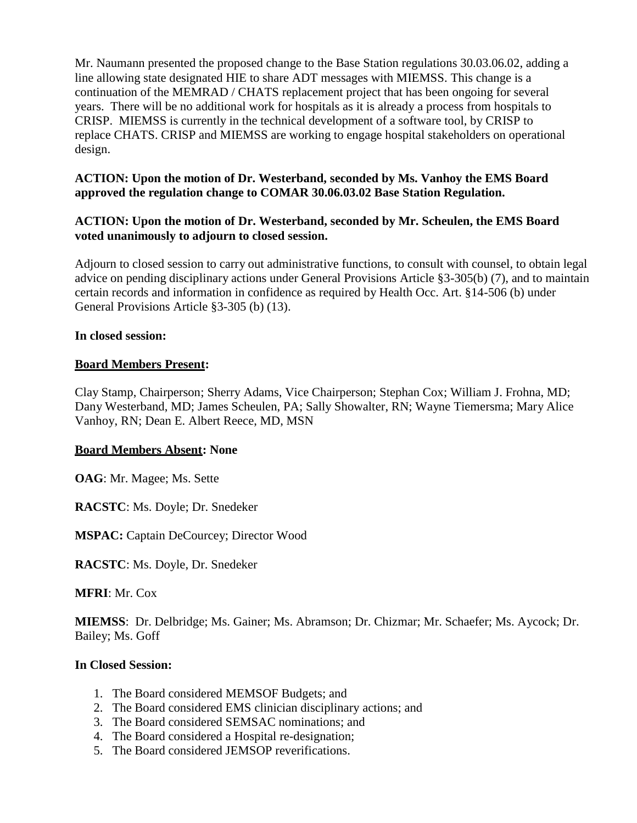Mr. Naumann presented the proposed change to the Base Station regulations 30.03.06.02, adding a line allowing state designated HIE to share ADT messages with MIEMSS. This change is a continuation of the MEMRAD / CHATS replacement project that has been ongoing for several years. There will be no additional work for hospitals as it is already a process from hospitals to CRISP. MIEMSS is currently in the technical development of a software tool, by CRISP to replace CHATS. CRISP and MIEMSS are working to engage hospital stakeholders on operational design.

## **ACTION: Upon the motion of Dr. Westerband, seconded by Ms. Vanhoy the EMS Board approved the regulation change to COMAR 30.06.03.02 Base Station Regulation.**

#### **ACTION: Upon the motion of Dr. Westerband, seconded by Mr. Scheulen, the EMS Board voted unanimously to adjourn to closed session.**

Adjourn to closed session to carry out administrative functions, to consult with counsel, to obtain legal advice on pending disciplinary actions under General Provisions Article §3-305(b) (7), and to maintain certain records and information in confidence as required by Health Occ. Art. §14-506 (b) under General Provisions Article §3-305 (b) (13).

#### **In closed session:**

#### **Board Members Present:**

Clay Stamp, Chairperson; Sherry Adams, Vice Chairperson; Stephan Cox; William J. Frohna, MD; Dany Westerband, MD; James Scheulen, PA; Sally Showalter, RN; Wayne Tiemersma; Mary Alice Vanhoy, RN; Dean E. Albert Reece, MD, MSN

#### **Board Members Absent: None**

**OAG**: Mr. Magee; Ms. Sette

**RACSTC**: Ms. Doyle; Dr. Snedeker

**MSPAC:** Captain DeCourcey; Director Wood

**RACSTC**: Ms. Doyle, Dr. Snedeker

**MFRI**: Mr. Cox

**MIEMSS**: Dr. Delbridge; Ms. Gainer; Ms. Abramson; Dr. Chizmar; Mr. Schaefer; Ms. Aycock; Dr. Bailey; Ms. Goff

#### **In Closed Session:**

- 1. The Board considered MEMSOF Budgets; and
- 2. The Board considered EMS clinician disciplinary actions; and
- 3. The Board considered SEMSAC nominations; and
- 4. The Board considered a Hospital re-designation;
- 5. The Board considered JEMSOP reverifications.